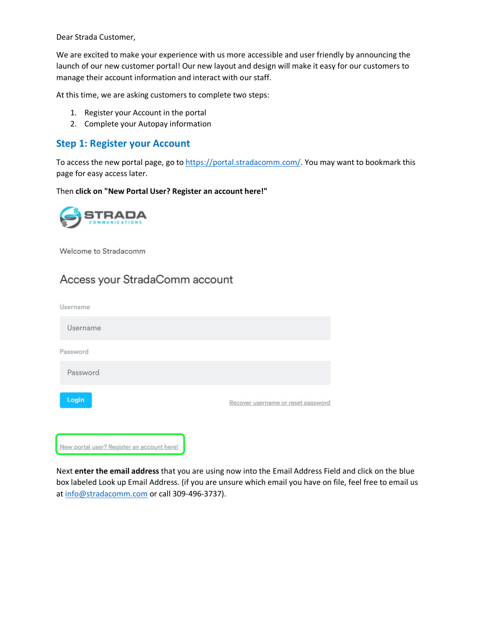Dear Strada Customer,

We are excited to make your experience with us more accessible and user friendly by announcing the launch of our new customer portal! Our new layout and design will make it easy for our customers to manage their account information and interact with our staff.

At this time, we are asking customers to complete two steps:

- 1. Register your Account in the portal
- 2. Complete your Autopay information

### **Step 1: Register your Account**

To access the new portal page, go to [https://portal.stradacomm.com/.](https://portal.stradacomm.com/) You may want to bookmark this page for easy access later.

Then **click on "New Portal User? Register an account here!"**



Welcome to Stradacomm

## Access your StradaComm account

| Username                                   |                                    |
|--------------------------------------------|------------------------------------|
| Username                                   |                                    |
| Password                                   |                                    |
| Password                                   |                                    |
| Login                                      | Recover username or reset password |
| New portal user? Register an account here! |                                    |

Next **enter the email address** that you are using now into the Email Address Field and click on the blue box labeled Look up Email Address. (if you are unsure which email you have on file, feel free to email us at [info@stradacomm.com](mailto:info@stradacomm.com) or call 309-496-3737).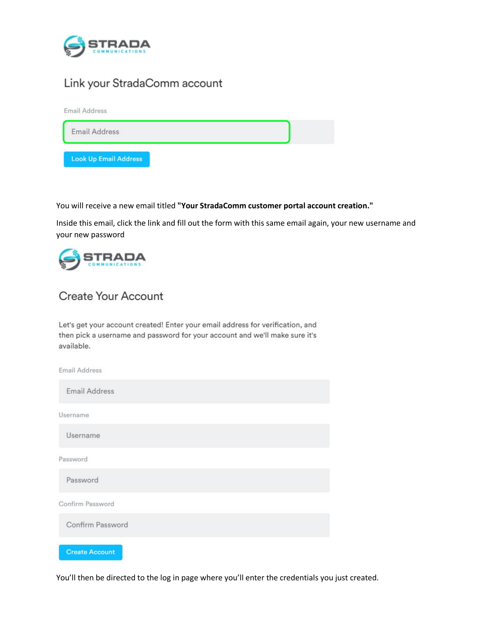

# Link your StradaComm account



You will receive a new email titled **"Your StradaComm customer portal account creation."** 

Inside this email, click the link and fill out the form with this same email again, your new username and your new password



# Create Your Account

Let's get your account created! Enter your email address for verification, and then pick a username and password for your account and we'll make sure it's available.



You'll then be directed to the log in page where you'll enter the credentials you just created.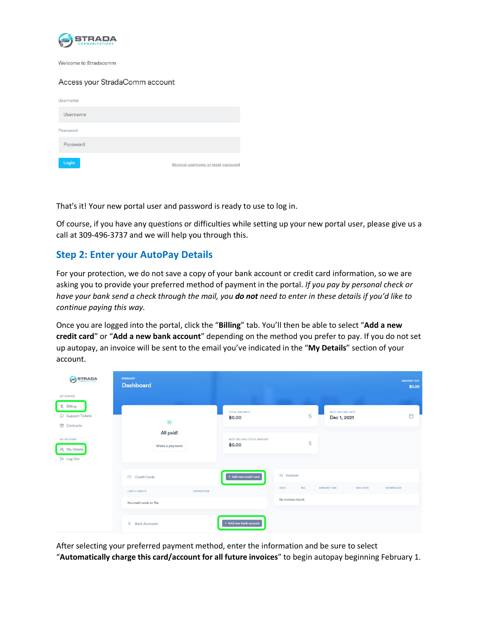

Welcome to Stradacomm

#### Access your StradaComm account

| Username |                                    |
|----------|------------------------------------|
| Username |                                    |
| Password |                                    |
| Password |                                    |
| Login    | Recover username or reset password |

That's it! Your new portal user and password is ready to use to log in.

Of course, if you have any questions or difficulties while setting up your new portal user, please give us a call at 309-496-3737 and we will help you through this.

## **Step 2: Enter your AutoPay Details**

For your protection, we do not save a copy of your bank account or credit card information, so we are asking you to provide your preferred method of payment in the portal. *If you pay by personal check or have your bank send a check through the mail, you do not need to enter in these details if you'd like to continue paying this way.*

Once you are logged into the portal, click the "**Billing**" tab. You'll then be able to select "**Add a new credit card**" or "**Add a new bank account**" depending on the method you prefer to pay. If you do not set up autopay, an invoice will be sent to the email you've indicated in the "**My Details**" section of your account.

| STRADA<br>€                                                             | <b>SUMMARY</b><br><b>Dashboard</b>                        |                                     |                                         |                                  | <b>AMOUNT DUE</b><br>\$0.00 |
|-------------------------------------------------------------------------|-----------------------------------------------------------|-------------------------------------|-----------------------------------------|----------------------------------|-----------------------------|
| <b>MY SERVICE</b><br>$$$ Billing<br>$\Box$ Support Tickets<br>Contracts | $\Delta$<br>All paid!                                     | <b>TOTAL BALANCE</b><br>\$0.00      | $\ddagger$                              | NEXT BILLING DATE<br>Dec 1, 2021 | 自                           |
| MY ACCOUNT<br>A My Details<br>[→ Log Out                                | Make a payment                                            | NEXT BILLING CYCLE AMOUNT<br>\$0.00 | $\ddagger$                              |                                  |                             |
|                                                                         | Credit Cards<br><b>LAST 4 DIGITS</b><br><b>EXPIRATION</b> | + Add new credit card               | $\Theta$ Invoices<br>NO.<br><b>DATE</b> | <b>AMOUNT DUE</b><br>DUE DATE    | DOWNLOAD                    |
|                                                                         | No credit cards on file.                                  |                                     | No invoices found.                      |                                  |                             |
|                                                                         | $\ddot{\bm{z}}$<br><b>Bank Accounts</b>                   | + Add new bank account              |                                         |                                  |                             |

After selecting your preferred payment method, enter the information and be sure to select

"**Automatically charge this card/account for all future invoices**" to begin autopay beginning February 1.